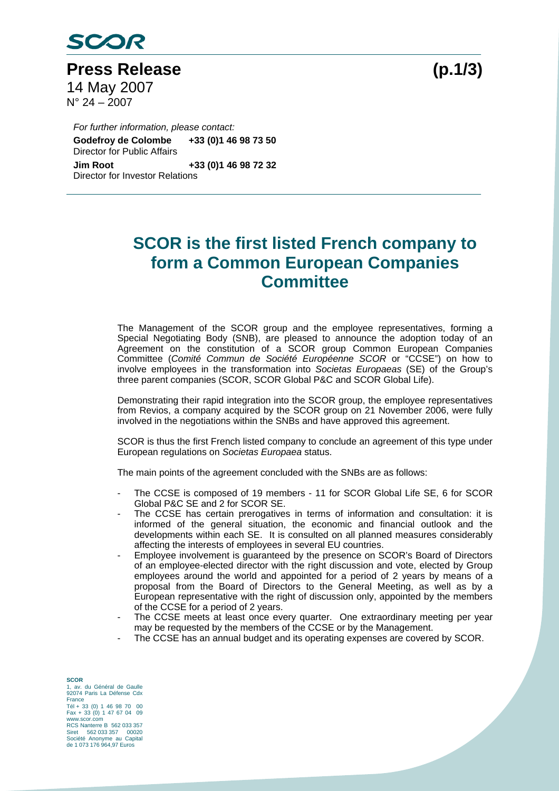

Press Release (p.1/3) 14 May 2007  $N^{\circ}$  24 – 2007

*For further information, please contact:*  **Godefroy de Colombe +33 (0)1 46 98 73 50**  Director for Public Affairs **Jim Root +33 (0)1 46 98 72 32**  Director for Investor Relations

## **SCOR is the first listed French company to form a Common European Companies Committee**

The Management of the SCOR group and the employee representatives, forming a Special Negotiating Body (SNB), are pleased to announce the adoption today of an Agreement on the constitution of a SCOR group Common European Companies Committee (*Comité Commun de Société Européenne SCOR* or "CCSE") on how to involve employees in the transformation into *Societas Europaeas* (SE) of the Group's three parent companies (SCOR, SCOR Global P&C and SCOR Global Life).

Demonstrating their rapid integration into the SCOR group, the employee representatives from Revios, a company acquired by the SCOR group on 21 November 2006, were fully involved in the negotiations within the SNBs and have approved this agreement.

SCOR is thus the first French listed company to conclude an agreement of this type under European regulations on *Societas Europaea* status.

The main points of the agreement concluded with the SNBs are as follows:

- The CCSE is composed of 19 members 11 for SCOR Global Life SE, 6 for SCOR Global P&C SE and 2 for SCOR SE.
- The CCSE has certain prerogatives in terms of information and consultation: it is informed of the general situation, the economic and financial outlook and the developments within each SE. It is consulted on all planned measures considerably affecting the interests of employees in several EU countries.
- Employee involvement is guaranteed by the presence on SCOR's Board of Directors of an employee-elected director with the right discussion and vote, elected by Group employees around the world and appointed for a period of 2 years by means of a proposal from the Board of Directors to the General Meeting, as well as by a European representative with the right of discussion only, appointed by the members of the CCSE for a period of 2 years.
- The CCSE meets at least once every quarter. One extraordinary meeting per year may be requested by the members of the CCSE or by the Management.
- The CCSE has an annual budget and its operating expenses are covered by SCOR.

**SCOR**  1, av. du Général de Gaulle 92074 Paris La Défense Cdx France Tél + 33 (0) 1 46 98 70 00 Fax + 33 (0) 1 47 67 04 09 www.scor.com RCS Nanterre B 562 033 357 Siret 562 033 357 00020 Société Anonyme au Capital de 1 073 176 964,97 Euros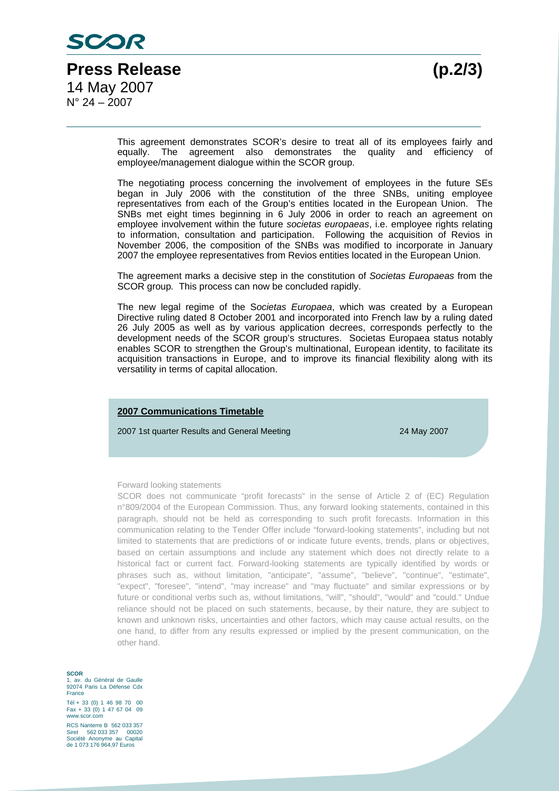This agreement demonstrates SCOR's desire to treat all of its employees fairly and equally. The agreement also demonstrates the quality and efficiency of employee/management dialogue within the SCOR group.

The negotiating process concerning the involvement of employees in the future SEs began in July 2006 with the constitution of the three SNBs, uniting employee representatives from each of the Group's entities located in the European Union. The SNBs met eight times beginning in 6 July 2006 in order to reach an agreement on employee involvement within the future *societas europaeas*, i.e. employee rights relating to information, consultation and participation. Following the acquisition of Revios in November 2006, the composition of the SNBs was modified to incorporate in January 2007 the employee representatives from Revios entities located in the European Union.

The agreement marks a decisive step in the constitution of *Societas Europaeas* from the SCOR group*.* This process can now be concluded rapidly.

The new legal regime of the S*ocietas Europaea*, which was created by a European Directive ruling dated 8 October 2001 and incorporated into French law by a ruling dated 26 July 2005 as well as by various application decrees, corresponds perfectly to the development needs of the SCOR group's structures. Societas Europaea status notably enables SCOR to strengthen the Group's multinational, European identity, to facilitate its acquisition transactions in Europe, and to improve its financial flexibility along with its versatility in terms of capital allocation.

## **2007 Communications Timetable**

2007 1st quarter Results and General Meeting 24 May 2007

## Forward looking statements

SCOR does not communicate "profit forecasts" in the sense of Article 2 of (EC) Regulation n°809/2004 of the European Commission. Thus, any forward looking statements, contained in this paragraph, should not be held as corresponding to such profit forecasts. Information in this communication relating to the Tender Offer include "forward-looking statements", including but not limited to statements that are predictions of or indicate future events, trends, plans or objectives, based on certain assumptions and include any statement which does not directly relate to a historical fact or current fact. Forward-looking statements are typically identified by words or phrases such as, without limitation, "anticipate", "assume", "believe", "continue", "estimate", "expect", "foresee", "intend", "may increase" and "may fluctuate" and similar expressions or by future or conditional verbs such as, without limitations, "will", "should", "would" and "could." Undue reliance should not be placed on such statements, because, by their nature, they are subject to known and unknown risks, uncertainties and other factors, which may cause actual results, on the one hand, to differ from any results expressed or implied by the present communication, on the other hand.

**SCOR**  1, av. du Général de Gaulle 92074 Paris La Défense Cdx **France** Tél + 33 (0) 1 46 98 70 00 Fax + 33 (0) 1 47 67 04 09 www.scor.com RCS Nanterre B 562 033 357 Siret 562 033 357 00020 Société Anonyme au Capital

de 1 073 176 964,97 Euros